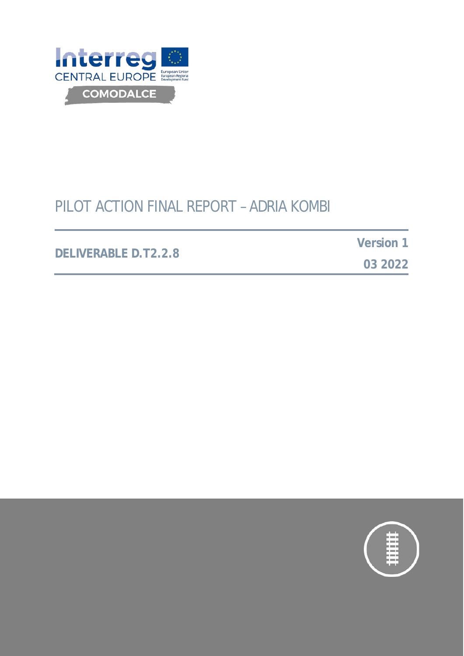

# PILOT ACTION FINAL REPORT – ADRIA KOMBI

#### **DELIVERABLE D.T2.2.8**

**Version 1**

**03 2022**

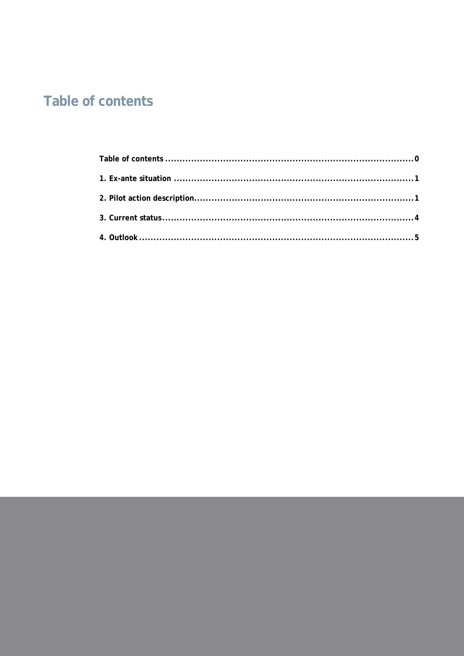# <span id="page-1-0"></span>**Table of contents**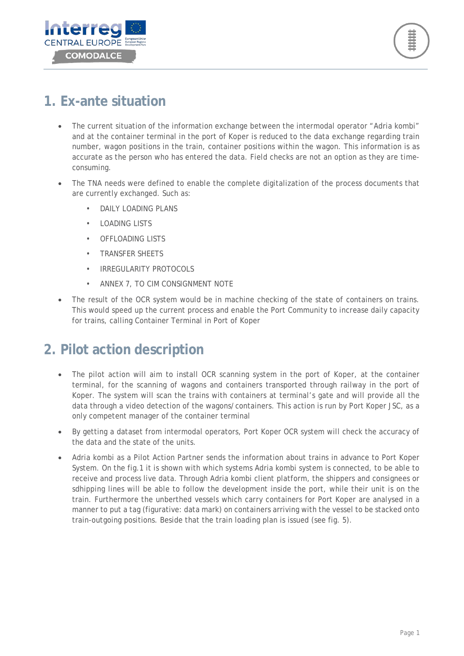



#### <span id="page-2-0"></span>**1. Ex-ante situation**

- The current situation of the information exchange between the intermodal operator "Adria kombi" and at the container terminal in the port of Koper is reduced to the data exchange regarding train number, wagon positions in the train, container positions within the wagon. This information is as accurate as the person who has entered the data. Field checks are not an option as they are timeconsuming.
- The TNA needs were defined to enable the complete digitalization of the process documents that are currently exchanged. Such as:
	- DAILY LOADING PLANS
	- LOADING LISTS
	- **OFFLOADING LISTS**
	- TRANSFER SHEETS
	- IRREGULARITY PROTOCOLS
	- ANNEX 7, TO CIM CONSIGNMENT NOTE
- The result of the OCR system would be in machine checking of the state of containers on trains. This would speed up the current process and enable the Port Community to increase daily capacity for trains, calling Container Terminal in Port of Koper

### <span id="page-2-1"></span>**2. Pilot action description**

- The pilot action will aim to install OCR scanning system in the port of Koper, at the container terminal, for the scanning of wagons and containers transported through railway in the port of Koper. The system will scan the trains with containers at terminal's gate and will provide all the data through a video detection of the wagons/containers. This action is run by Port Koper JSC, as a only competent manager of the container terminal
- By getting a dataset from intermodal operators, Port Koper OCR system will check the accuracy of the data and the state of the units.
- Adria kombi as a Pilot Action Partner sends the information about trains in advance to Port Koper System. On the fig.1 it is shown with which systems Adria kombi system is connected, to be able to receive and process live data. Through Adria kombi client platform, the shippers and consignees or sdhipping lines will be able to follow the development inside the port, while their unit is on the train. Furthermore the unberthed vessels which carry containers for Port Koper are analysed in a manner to put a tag (figurative: data mark) on containers arriving with the vessel to be stacked onto train-outgoing positions. Beside that the train loading plan is issued (see fig. 5).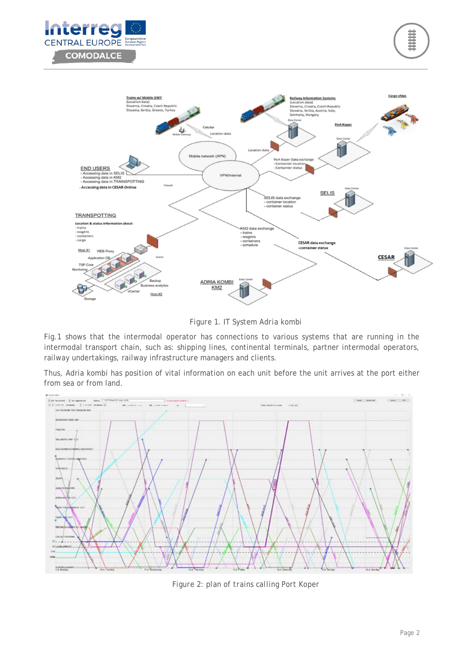





*Figure 1. IT System Adria kombi*

Fig.1 shows that the intermodal operator has connections to various systems that are running in the intermodal transport chain, such as: shipping lines, continental terminals, partner intermodal operators, railway undertakings, railway infrastructure managers and clients.

Thus, Adria kombi has position of vital information on each unit before the unit arrives at the port either from sea or from land.



*Figure 2: plan of trains calling Port Koper*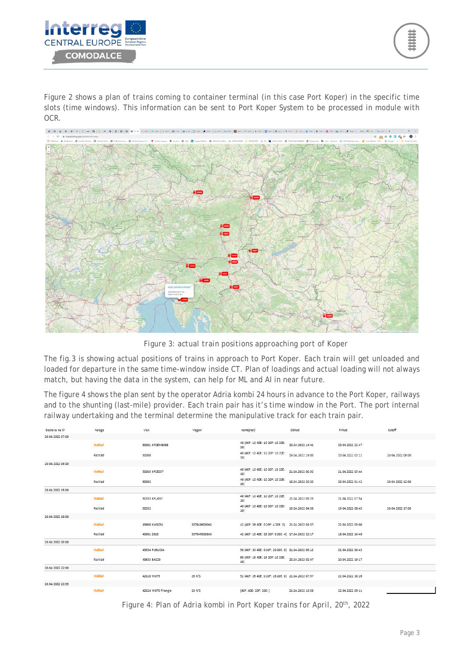

Figure 2 shows a plan of trains coming to container terminal (in this case Port Koper) in the specific time slots (time windows). This information can be sent to Port Koper System to be processed in module with OCR.



*Figure 3: actual train positions approaching port of Koper*

The fig.3 is showing actual positions of trains in approach to Port Koper. Each train will get unloaded and loaded for departure in the same time-window inside CT. Plan of loadings and actual loading will not always match, but having the data in the system, can help for ML and AI in near future.

The figure 4 shows the plan sent by the operator Adria kombi 24 hours in advance to the Port Koper, railways and to the shunting (last-mile) provider. Each train pair has it's time window in the Port. The port internal railway undertaking and the terminal determine the manipulative track for each train pair.

| Dostava na tir   | Naloga  | vlak                | Vagoni       | Kontejnerji                                         | Odhod            | Prihod           | Cutoff           |
|------------------|---------|---------------------|--------------|-----------------------------------------------------|------------------|------------------|------------------|
| 20.04.2022 07:00 |         |                     |              |                                                     |                  |                  |                  |
|                  | Naklad  | 50001 KPCEMB088     |              | 40 (40F: 10 40E: 10 20F: 10 20E:<br>10              | 20.04.2022 14:41 | 20.04.2022 22:47 |                  |
|                  | Razklad | 50000               |              | 40 (40F: 10 40E: 10 20F: 10 20E:<br>10)             | 19.04.2022 19:03 | 20.04.2022 03:11 | 20.04.2022 09:00 |
| 20.04.2022 09:00 |         |                     |              |                                                     |                  |                  |                  |
|                  | Naklad  | 50003 KPCE057       |              | 40 (40F: 10 40E: 10 20F: 10 20E:<br>10              | 21.04.2022 00:50 | 21.04.2022 05:44 |                  |
|                  | Razklad | 50002               |              | 40 (40F: 10 40E: 10 20F: 10 20E:<br>10)             | 19.04.2022 20:20 | 20.04.2022 01:42 | 20.04.2022 12:00 |
| 20.04.2022 15:00 |         |                     |              |                                                     |                  |                  |                  |
|                  | Naklad  | 50353 KPLJ057       |              | 40 (40F: 10 40E: 10 20F: 10 20E:<br>10)             | 21.04.2022 03:25 | 21.04.2022 07:54 |                  |
|                  | Razklad | 50352               |              | 40 (40F: 10 40E: 10 20F: 10 20E:<br>10)             | 19.04.2022 04:38 | 19.04.2022 08:45 | 20.04.2022 17:00 |
| 20.04.2022 18:00 |         |                     |              |                                                     |                  |                  |                  |
|                  | Naklad  | 43600 KMS034        | 337949600064 | 42 (40F: 38 40E: 0 20F: 4 20E: 0) 21.04.2022 04:37  |                  | 22.04.2022 05:00 |                  |
|                  | Razklad | 43601 2015          | 337949600866 | 42 (40F: 10 40E: 28 20F: 0 20E: 4) 17.04.2022 22:17 |                  | 18.04.2022 16:48 |                  |
| 20.04.2022 20:00 |         |                     |              |                                                     |                  |                  |                  |
|                  | Naklad  | 43634 PUBLIC04      |              | 50 (40F: 30 40E: 0 20F: 20 20E: 0) 21.04.2022 06:12 |                  | 22.04.2022 00:43 |                  |
|                  | Razklad | 43633 BA020         |              | 50 (40F: 15 40E: 15 20F: 10 20E:<br>10              | 20.04.2022 02:47 | 20.04.2022 19:17 |                  |
| 20.04.2022 22:00 |         |                     |              |                                                     |                  |                  |                  |
|                  | Naklad  | 42020 W075          | 26 R/S       | 52 (40F: 26 40E: 0 20F: 26 20E: 0) 21.04.2022 07:57 |                  | 22.04.2022 10:26 |                  |
| 20.04.2022 23:59 |         |                     |              |                                                     |                  |                  |                  |
|                  | Naklad  | 42024 W076-Triangle | 26 R/S       | (40F: 40E: 20F: 20E: )                              | 21.04.2022 13:58 | 22.04.2022 09:11 |                  |

*Figure 4: Plan of Adria kombi in Port Koper trains for April, 20th, 2022*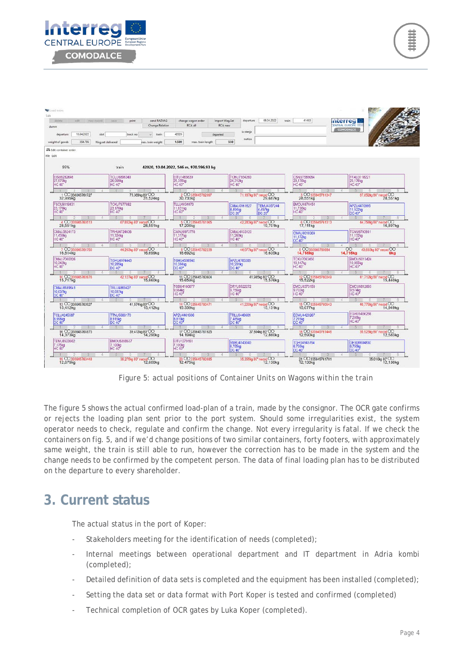

| <b>vitebete</b><br>edit.<br>Cinexcreditdi | send RAZVAG<br>print<br>cause          | change wagon order                      | 08.04.2022<br>departure<br><b>Import Wag.Set</b> | 41483<br>train                | Interregi                                       |
|-------------------------------------------|----------------------------------------|-----------------------------------------|--------------------------------------------------|-------------------------------|-------------------------------------------------|
| dumn                                      | <b>Change Relation</b>                 | RCA all                                 | <b>RCA</b> new                                   |                               | <b>ENTRAL EUROPE</b><br>COMODALCE               |
| 10.04.2022<br>departure<br>slot           | track no<br>u.<br>train                | 42020<br>departed                       | iz stanja                                        |                               |                                                 |
| weight of goods<br>354,796                | Wag.set delivered<br>nax. train weight | 1.580<br>max. train length              | notice<br>550                                    |                               |                                                 |
| El Edit container order                   |                                        |                                         |                                                  |                               |                                                 |
| File Edit                                 |                                        |                                         |                                                  |                               |                                                 |
|                                           |                                        |                                         |                                                  |                               |                                                 |
| 95%                                       | train                                  | 42020, 10.04.2022, 546 m, 970.596,93 kg |                                                  |                               |                                                 |
| EISU9282646                               | <b>TCLU8896340</b>                     | EITU1465639                             | <b>TCNU7354260</b>                               | CSNU7589084                   | FFAU3118221                                     |
| 27,570kg<br><b>HC 40*</b>                 | 26,099kg<br><b>HC 40°</b>              | 25,355kg<br><b>HC 40*</b>               | 24,312kg<br><b>HC 40</b>                         | 23,176kg<br><b>HC 40*</b>     | 23.176kg<br><b>HC 40°</b>                       |
|                                           | $\sim$                                 |                                         |                                                  |                               |                                                 |
| 1 00338045761727<br>32,995kg              | 75,369kg 80°CO<br>31,524kg             | CO335645762097<br>30,730kg              | 71.167kg 80° neoad CO<br>29,687kg                | 3 00335645761347<br>28,551kg  | 67,852kg 80" necod OO                           |
| FSCU9319831                               | <b>TCKU7977882</b>                     | <b>TLLU4034073</b>                      | CMAU0161627<br><b>TEMU4357244</b>                | BMOU4874454                   | APZU4470995                                     |
| 23.176kg<br><b>HC 40*</b>                 | 23.176kg<br>HC 40°                     | 11,831kg<br><b>HC 40*</b>               | 4.494kg<br>4,457kg<br>DC 20 <sup>3</sup>         | 11.736kg<br><b>HC 40*</b>     | 11.522kg<br>DC 40°                              |
|                                           |                                        |                                         |                                                  |                               |                                                 |
| 4 CO335645760513<br>28,551kg              | 67,852kg 80" necod CO<br>28,551kg      | 5 00335645761065<br>17,206kg            | 42,283kg 80° neood CO<br>19,701kg                | 6 CO335645761313<br>17.111kg  | 44 758kg 80" necod CO<br>16,897kg               |
| CMAU5824173                               | TRHU4724636                            | CMAU6973778                             | CMAU4133120                                      | CMAU8018309                   | <b>CNU9793981</b>                               |
| 11.439kg<br><b>HC 40*</b>                 | 11.324kg<br><b>HC 40*</b>              | 11.317kg<br><b>HC 40*</b>               | 11.260kg<br><b>HC 40*</b>                        | 11.172kg<br>DC 40*            | 11.132kg<br><b>HC 40*</b>                       |
|                                           |                                        |                                         | $T_{\rm e}$                                      |                               |                                                 |
| 7 00335645761750<br>16,814kg              | 44.263kg 80" necod CO<br>16,699kg      | 8 00335645762238                        | 44.077kg 80" necod CO<br>16,635kg                | 9 00335645760984<br>14,755kg  | 43,803kg 80° necod CO<br>00.<br>14,715kg<br>0kg |
| CMAU7000326                               | TGHU4974443                            | TGHU4536940                             | APZU4760206                                      | TCKU7063450                   | BMOU5013424                                     |
| 10,342kg<br><b>HC 40*</b>                 | 10.285kg<br>DC 40*                     | 10,284kg                                | 10.201kg<br>DC 40°                               | 10,147kg<br><b>HC 40*</b>     | 10.065kg<br><b>HC 40*</b>                       |
|                                           |                                        |                                         | -51                                              |                               |                                                 |
| 10 CO335645760976                         | 42.127kg 80" necod CO<br>15,660kg      | 11 00335645760604<br>15,659kg           | 41,985kg 80*OO<br>15,576kg                       | 12 00335645760349             | 41,712kg 80" neod OO 15,440kg                   |
| CMAU8189641                               | TRLU4869427                            | TGBU4160677                             | DRYU9522272                                      | EMCU8373158                   | EMCU8812693                                     |
| 10.037kg<br>DC 40°                        | 10,037kg<br>DC 40*                     | 9,964kg<br><b>HC 40*</b>                | 9.756kg<br><b>HC 40</b> <sup></sup>              | 9.702kg<br><b>HC 40</b>       | 9,574kg<br><b>HC 40<sup>*</sup></b>             |
|                                           |                                        |                                         |                                                  |                               |                                                 |
| 13 00335645760927<br>15,412kg             | 41,574kg 80°CO<br>15,412kg             | 14 00335645760471<br>15,339kg           | 41,220kg 80° neood OO<br>15,131kg                | 15 00335645760943<br>15,077kg | 40,776kg 80" necod OO                           |
| <b>TCLU4245587</b>                        | <b>TTNU5988170</b>                     | APZU4461606                             | <b>TRLU9449601</b>                               | <b>ECMU4420267</b>            | EGHU9466266                                     |
| 8.998kg<br>DC 40°                         | 8.915kg<br>DC 40*                      | 8,819kg<br>DC 40*                       | 7,485kg<br><b>DC 40</b>                          | 7.215kg<br>DC 40              | 7,208kg                                         |
|                                           |                                        |                                         |                                                  |                               |                                                 |
| 16 00335645761875<br>14,373kg             | 39,413kg 80°CO<br>14,290kg             | 17 CO 335645761925<br>14,194kg          | 37.804kg 80*OO<br>12.860kg                       | 18 CO335645761446<br>12,590kg | 35.923kg 80° necod OO<br>12,583kg               |
| <b>TEMU8523662</b>                        | BMOU5398537                            | EITU1279151                             |                                                  | TGHU4945764                   |                                                 |
| 7,175kg<br><b>HC 40<sup>*</sup></b>       | 7.100kg<br><b>HC 40*</b>               | 7.100kg<br><b>HC 40*</b>                | SNBU4143040<br>6,755kg<br><b>DC 40</b>           | 6,755kg<br>DC 40*             | GESU6604830<br>6,755kg<br><b>DC 40</b>          |
|                                           |                                        |                                         |                                                  |                               |                                                 |

*Figure 5: actual positions of Container Units on Wagons within the train*

The figure 5 shows the actual confirmed load-plan of a train, made by the consignor. The OCR gate confirms or rejects the loading plan sent prior to the port system. Should some irregularities exist, the system operator needs to check, regulate and confirm the change. Not every irregularity is fatal. If we check the containers on fig. 5, and if we'd change positions of two similar containers, forty footers, with approximately same weight, the train is still able to run, however the correction has to be made in the system and the change needs to be confirmed by the competent person. The data of final loading plan has to be distributed on the departure to every shareholder.

### <span id="page-5-0"></span>**3. Current status**

The actual status in the port of Koper:

- Stakeholders meeting for the identification of needs (completed);
- Internal meetings between operational department and IT department in Adria kombi (completed);
- Detailed definition of data sets is completed and the equipment has been installed (completed);
- Setting the data set or data format with Port Koper is tested and confirmed (completed)
- Technical completion of OCR gates by Luka Koper (completed).